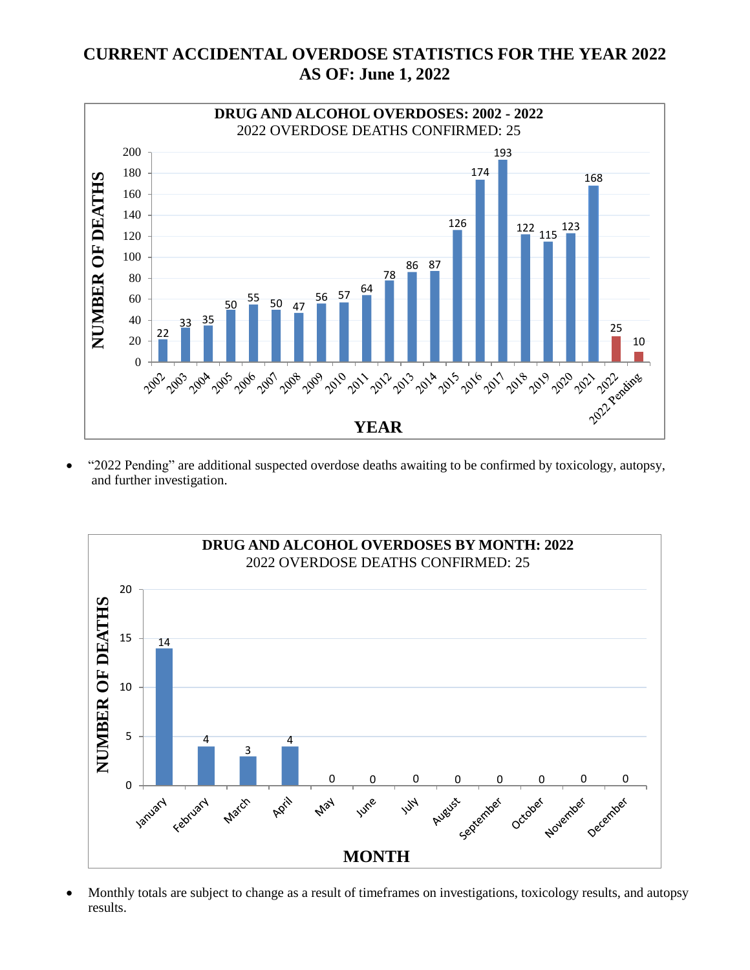# **CURRENT ACCIDENTAL OVERDOSE STATISTICS FOR THE YEAR 2022 AS OF: June 1, 2022**



 "2022 Pending" are additional suspected overdose deaths awaiting to be confirmed by toxicology, autopsy, and further investigation.



 Monthly totals are subject to change as a result of timeframes on investigations, toxicology results, and autopsy results.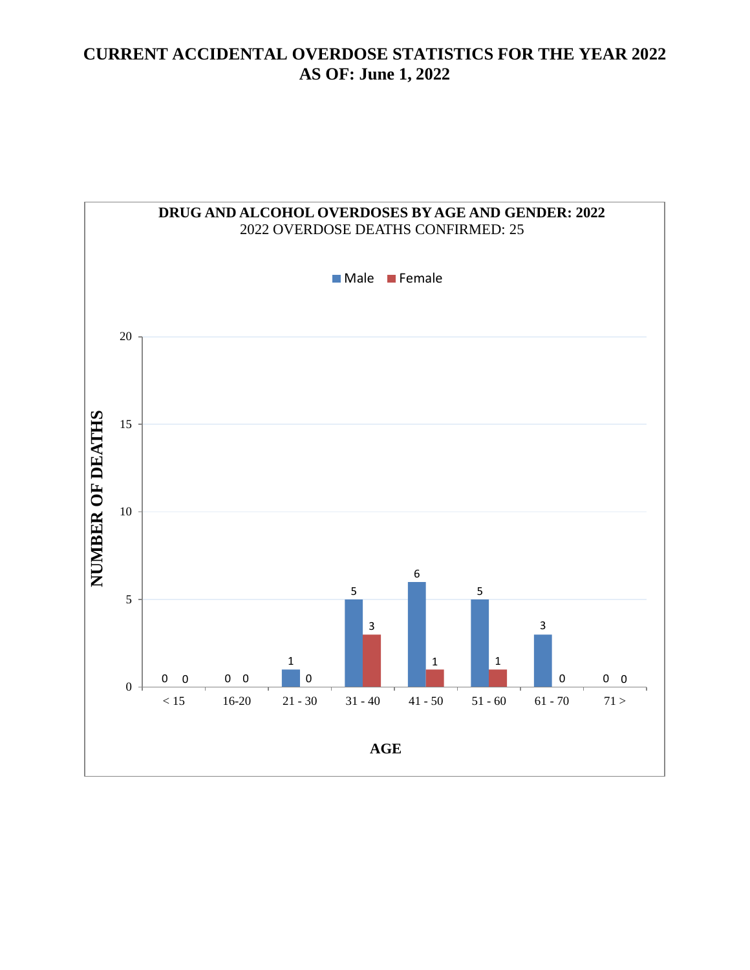### **CURRENT ACCIDENTAL OVERDOSE STATISTICS FOR THE YEAR 2022 AS OF: June 1, 2022**

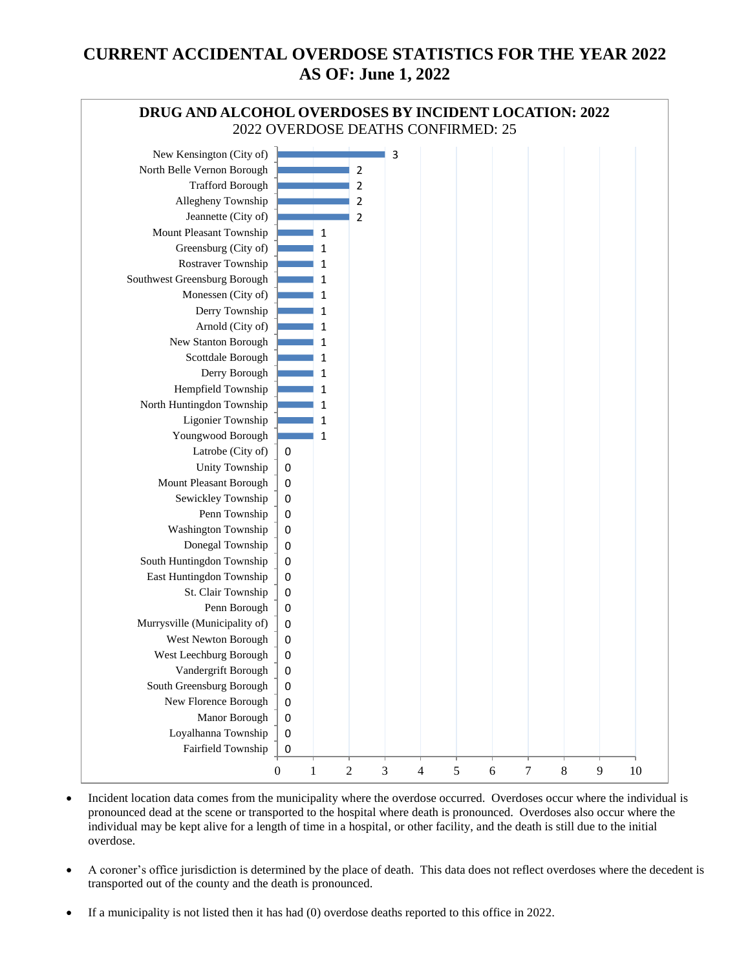# **CURRENT ACCIDENTAL OVERDOSE STATISTICS FOR THE YEAR 2022 AS OF: June 1, 2022**



- Incident location data comes from the municipality where the overdose occurred. Overdoses occur where the individual is pronounced dead at the scene or transported to the hospital where death is pronounced. Overdoses also occur where the individual may be kept alive for a length of time in a hospital, or other facility, and the death is still due to the initial overdose.
- A coroner's office jurisdiction is determined by the place of death. This data does not reflect overdoses where the decedent is transported out of the county and the death is pronounced.
- If a municipality is not listed then it has had (0) overdose deaths reported to this office in 2022.